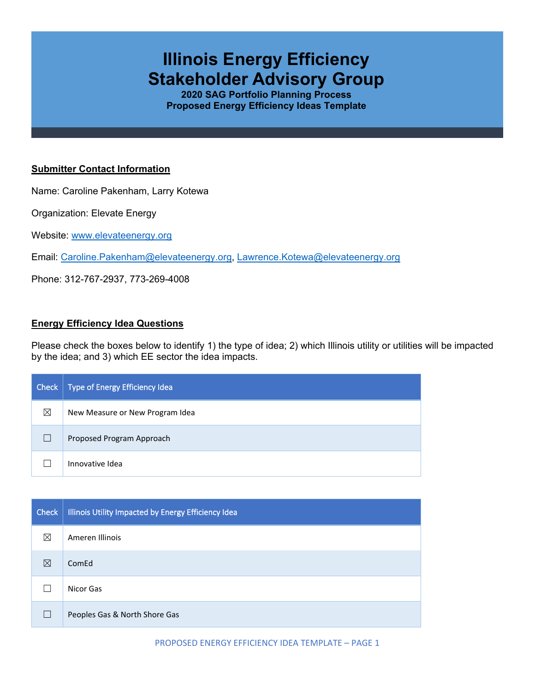# **Illinois Energy Efficiency Stakeholder Advisory Group**

**2020 SAG Portfolio Planning Process Proposed Energy Efficiency Ideas Template**

## **Submitter Contact Information**

Name: Caroline Pakenham, Larry Kotewa

Organization: Elevate Energy

Website: [www.elevateenergy.org](http://www.elevateenergy.org/)

Email: [Caroline.Pakenham@elevateenergy.org,](mailto:Caroline.Pakenham@elevateenergy.org) [Lawrence.Kotewa@elevateenergy.org](mailto:Lawrence.Kotewa@elevateenergy.org)

Phone: 312-767-2937, 773-269-4008

#### **Energy Efficiency Idea Questions**

Please check the boxes below to identify 1) the type of idea; 2) which Illinois utility or utilities will be impacted by the idea; and 3) which EE sector the idea impacts.

| Check | Type of Energy Efficiency Idea  |
|-------|---------------------------------|
| ⊠     | New Measure or New Program Idea |
|       | Proposed Program Approach       |
|       | Innovative Idea                 |

| <b>Check</b> | Illinois Utility Impacted by Energy Efficiency Idea |
|--------------|-----------------------------------------------------|
| ⊠            | Ameren Illinois                                     |
| ⊠            | ComEd                                               |
|              | Nicor Gas                                           |
| П            | Peoples Gas & North Shore Gas                       |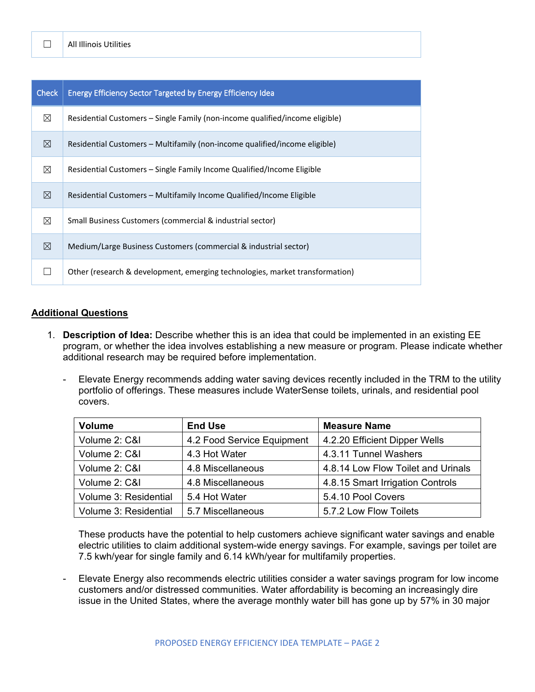| <b>Check</b> | <b>Energy Efficiency Sector Targeted by Energy Efficiency Idea</b>           |  |
|--------------|------------------------------------------------------------------------------|--|
| ⊠            | Residential Customers – Single Family (non-income qualified/income eligible) |  |
| ⊠            | Residential Customers – Multifamily (non-income qualified/income eligible)   |  |
| ⊠            | Residential Customers – Single Family Income Qualified/Income Eligible       |  |
| ⊠            | Residential Customers - Multifamily Income Qualified/Income Eligible         |  |
| ⊠            | Small Business Customers (commercial & industrial sector)                    |  |
| ⊠            | Medium/Large Business Customers (commercial & industrial sector)             |  |
|              | Other (research & development, emerging technologies, market transformation) |  |

### **Additional Questions**

- 1. **Description of Idea:** Describe whether this is an idea that could be implemented in an existing EE program, or whether the idea involves establishing a new measure or program. Please indicate whether additional research may be required before implementation.
	- Elevate Energy recommends adding water saving devices recently included in the TRM to the utility portfolio of offerings. These measures include WaterSense toilets, urinals, and residential pool covers.

| <b>Volume</b>         | <b>End Use</b>             | <b>Measure Name</b>                |
|-----------------------|----------------------------|------------------------------------|
| Volume 2: C&I         | 4.2 Food Service Equipment | 4.2.20 Efficient Dipper Wells      |
| Volume 2: C&I         | 4.3 Hot Water              | 4.3.11 Tunnel Washers              |
| Volume 2: C&I         | 4.8 Miscellaneous          | 4.8.14 Low Flow Toilet and Urinals |
| Volume 2: C&I         | 4.8 Miscellaneous          | 4.8.15 Smart Irrigation Controls   |
| Volume 3: Residential | 5.4 Hot Water              | 5.4.10 Pool Covers                 |
| Volume 3: Residential | 5.7 Miscellaneous          | 5.7.2 Low Flow Toilets             |

These products have the potential to help customers achieve significant water savings and enable electric utilities to claim additional system-wide energy savings. For example, savings per toilet are 7.5 kwh/year for single family and 6.14 kWh/year for multifamily properties.

Elevate Energy also recommends electric utilities consider a water savings program for low income customers and/or distressed communities. Water affordability is becoming an increasingly dire issue in the United States, where the average monthly water bill has gone up by 57% in 30 major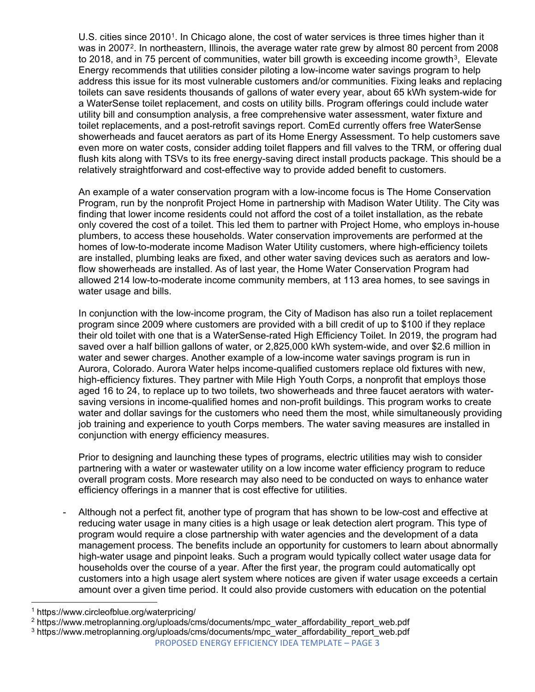U.S. cities since 20[1](#page-2-0)0<sup>1</sup>. In Chicago alone, the cost of water services is three times higher than it was in [2](#page-2-1)007<sup>2</sup>. In northeastern, Illinois, the average water rate grew by almost 80 percent from 2008 to 2018, and in 75 percent of communities, water bill growth is exceeding income growth<sup>[3](#page-2-2)</sup>, Elevate Energy recommends that utilities consider piloting a low-income water savings program to help address this issue for its most vulnerable customers and/or communities. Fixing leaks and replacing toilets can save residents thousands of gallons of water every year, about 65 kWh system-wide for a WaterSense toilet replacement, and costs on utility bills. Program offerings could include water utility bill and consumption analysis, a free comprehensive water assessment, water fixture and toilet replacements, and a post-retrofit savings report. ComEd currently offers free WaterSense showerheads and faucet aerators as part of its Home Energy Assessment. To help customers save even more on water costs, consider adding toilet flappers and fill valves to the TRM, or offering dual flush kits along with TSVs to its free energy-saving direct install products package. This should be a relatively straightforward and cost-effective way to provide added benefit to customers.

An example of a water conservation program with a low-income focus is The Home Conservation Program, run by the nonprofit Project Home in partnership with Madison Water Utility. The City was finding that lower income residents could not afford the cost of a toilet installation, as the rebate only covered the cost of a toilet. This led them to partner with Project Home, who employs in-house plumbers, to access these households. Water conservation improvements are performed at the homes of low-to-moderate income Madison Water Utility customers, where high-efficiency toilets are installed, plumbing leaks are fixed, and other water saving devices such as aerators and lowflow showerheads are installed. As of last year, the Home Water Conservation Program had allowed 214 low-to-moderate income community members, at 113 area homes, to see savings in water usage and bills.

In conjunction with the low-income program, the City of Madison has also run a toilet replacement program since 2009 where customers are provided with a bill credit of up to \$100 if they replace their old toilet with one that is a WaterSense-rated High Efficiency Toilet. In 2019, the program had saved over a half billion gallons of water, or 2,825,000 kWh system-wide, and over \$2.6 million in water and sewer charges. Another example of a low-income water savings program is run in Aurora, Colorado. Aurora Water helps income-qualified customers replace old fixtures with new, high-efficiency fixtures. They partner with Mile High Youth Corps, a nonprofit that employs those aged 16 to 24, to replace up to two toilets, two showerheads and three faucet aerators with watersaving versions in income-qualified homes and non-profit buildings. This program works to create water and dollar savings for the customers who need them the most, while simultaneously providing job training and experience to youth Corps members. The water saving measures are installed in conjunction with energy efficiency measures.

Prior to designing and launching these types of programs, electric utilities may wish to consider partnering with a water or wastewater utility on a low income water efficiency program to reduce overall program costs. More research may also need to be conducted on ways to enhance water efficiency offerings in a manner that is cost effective for utilities.

- Although not a perfect fit, another type of program that has shown to be low-cost and effective at reducing water usage in many cities is a high usage or leak detection alert program. This type of program would require a close partnership with water agencies and the development of a data management process. The benefits include an opportunity for customers to learn about abnormally high-water usage and pinpoint leaks. Such a program would typically collect water usage data for households over the course of a year. After the first year, the program could automatically opt customers into a high usage alert system where notices are given if water usage exceeds a certain amount over a given time period. It could also provide customers with education on the potential

<span id="page-2-0"></span><sup>1</sup> https://www.circleofblue.org/waterpricing/

<span id="page-2-1"></span><sup>&</sup>lt;sup>2</sup> https://www.metroplanning.org/uploads/cms/documents/mpc\_water\_affordability\_report\_web.pdf

<span id="page-2-2"></span>PROPOSED ENERGY EFFICIENCY IDEA TEMPLATE – PAGE 3 <sup>3</sup> https://www.metroplanning.org/uploads/cms/documents/mpc\_water\_affordability\_report\_web.pdf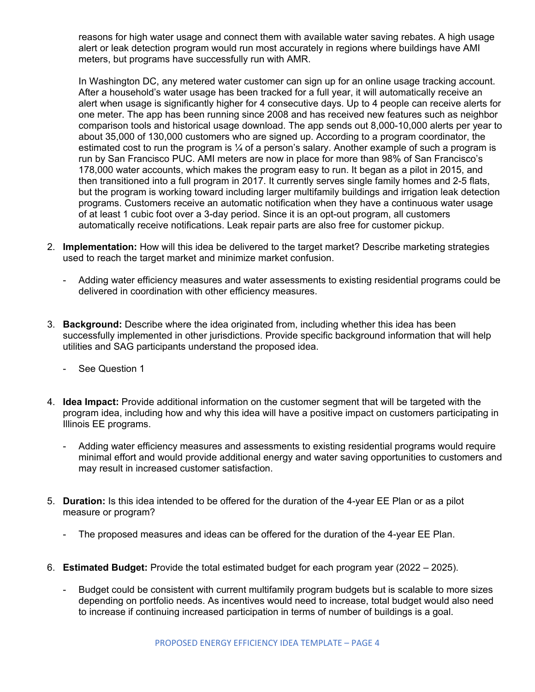reasons for high water usage and connect them with available water saving rebates. A high usage alert or leak detection program would run most accurately in regions where buildings have AMI meters, but programs have successfully run with AMR.

In Washington DC, any metered water customer can sign up for an online usage tracking account. After a household's water usage has been tracked for a full year, it will automatically receive an alert when usage is significantly higher for 4 consecutive days. Up to 4 people can receive alerts for one meter. The app has been running since 2008 and has received new features such as neighbor comparison tools and historical usage download. The app sends out 8,000-10,000 alerts per year to about 35,000 of 130,000 customers who are signed up. According to a program coordinator, the estimated cost to run the program is  $\frac{1}{4}$  of a person's salary. Another example of such a program is run by San Francisco PUC. AMI meters are now in place for more than 98% of San Francisco's 178,000 water accounts, which makes the program easy to run. It began as a pilot in 2015, and then transitioned into a full program in 2017. It currently serves single family homes and 2-5 flats, but the program is working toward including larger multifamily buildings and irrigation leak detection programs. Customers receive an automatic notification when they have a continuous water usage of at least 1 cubic foot over a 3-day period. Since it is an opt-out program, all customers automatically receive notifications. Leak repair parts are also free for customer pickup.

- 2. **Implementation:** How will this idea be delivered to the target market? Describe marketing strategies used to reach the target market and minimize market confusion.
	- Adding water efficiency measures and water assessments to existing residential programs could be delivered in coordination with other efficiency measures.
- 3. **Background:** Describe where the idea originated from, including whether this idea has been successfully implemented in other jurisdictions. Provide specific background information that will help utilities and SAG participants understand the proposed idea.
	- See Question 1
- 4. **Idea Impact:** Provide additional information on the customer segment that will be targeted with the program idea, including how and why this idea will have a positive impact on customers participating in Illinois EE programs.
	- Adding water efficiency measures and assessments to existing residential programs would require minimal effort and would provide additional energy and water saving opportunities to customers and may result in increased customer satisfaction.
- 5. **Duration:** Is this idea intended to be offered for the duration of the 4-year EE Plan or as a pilot measure or program?
	- The proposed measures and ideas can be offered for the duration of the 4-year EE Plan.
- 6. **Estimated Budget:** Provide the total estimated budget for each program year (2022 2025).
	- Budget could be consistent with current multifamily program budgets but is scalable to more sizes depending on portfolio needs. As incentives would need to increase, total budget would also need to increase if continuing increased participation in terms of number of buildings is a goal.